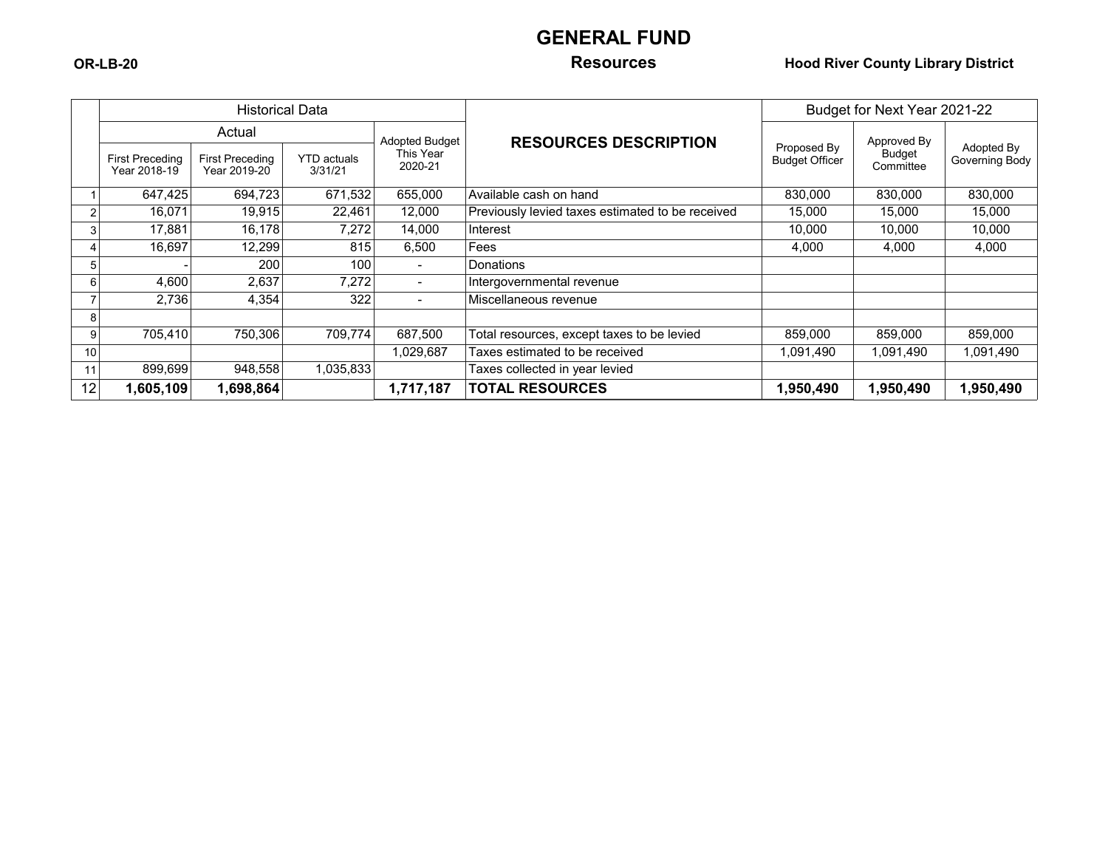# **GENERAL FUND**

### **OR-LB-20 Resources Hood River County Library District**

|                 |                                        | <b>Historical Data</b>                 |                               |                          |                                                  | Budget for Next Year 2021-22         |                     |                              |  |
|-----------------|----------------------------------------|----------------------------------------|-------------------------------|--------------------------|--------------------------------------------------|--------------------------------------|---------------------|------------------------------|--|
|                 | Actual                                 |                                        |                               | <b>Adopted Budget</b>    |                                                  |                                      | Approved By         |                              |  |
|                 | <b>First Preceding</b><br>Year 2018-19 | <b>First Preceding</b><br>Year 2019-20 | <b>YTD</b> actuals<br>3/31/21 | This Year<br>2020-21     | <b>RESOURCES DESCRIPTION</b>                     | Proposed By<br><b>Budget Officer</b> | Budget<br>Committee | Adopted By<br>Governing Body |  |
|                 | 647,425                                | 694,723                                | 671,532                       | 655,000                  | Available cash on hand                           | 830,000                              | 830,000             | 830,000                      |  |
| 2               | 16,071                                 | 19,915                                 | 22,461                        | 12,000                   | Previously levied taxes estimated to be received | 15,000                               | 15,000              | 15,000                       |  |
| 3               | 17,881                                 | 16,178                                 | 7,272                         | 14,000                   | Interest                                         | 10,000                               | 10,000              | 10,000                       |  |
| 4               | 16,697                                 | 12,299                                 | 815                           | 6,500                    | Fees                                             | 4,000                                | 4,000               | 4,000                        |  |
| 5               |                                        | 200                                    | 100                           | $\overline{\phantom{a}}$ | <b>Donations</b>                                 |                                      |                     |                              |  |
| 6               | 4,600                                  | 2,637                                  | 7,272                         | $\sim$                   | Intergovernmental revenue                        |                                      |                     |                              |  |
|                 | 2,736                                  | 4,354                                  | 322                           | $\blacksquare$           | Miscellaneous revenue                            |                                      |                     |                              |  |
| 8               |                                        |                                        |                               |                          |                                                  |                                      |                     |                              |  |
| 9               | 705,410                                | 750,306                                | 709,774                       | 687,500                  | Total resources, except taxes to be levied       | 859,000                              | 859,000             | 859,000                      |  |
| 10 <sup>1</sup> |                                        |                                        |                               | 1,029,687                | Taxes estimated to be received                   | 1,091,490                            | 1,091,490           | 1,091,490                    |  |
| 11              | 899,699                                | 948,558                                | 1,035,833                     |                          | Taxes collected in year levied                   |                                      |                     |                              |  |
| 12              | 1,605,109                              | 1,698,864                              |                               | 1,717,187                | <b>TOTAL RESOURCES</b>                           | 1,950,490                            | 1,950,490           | 1,950,490                    |  |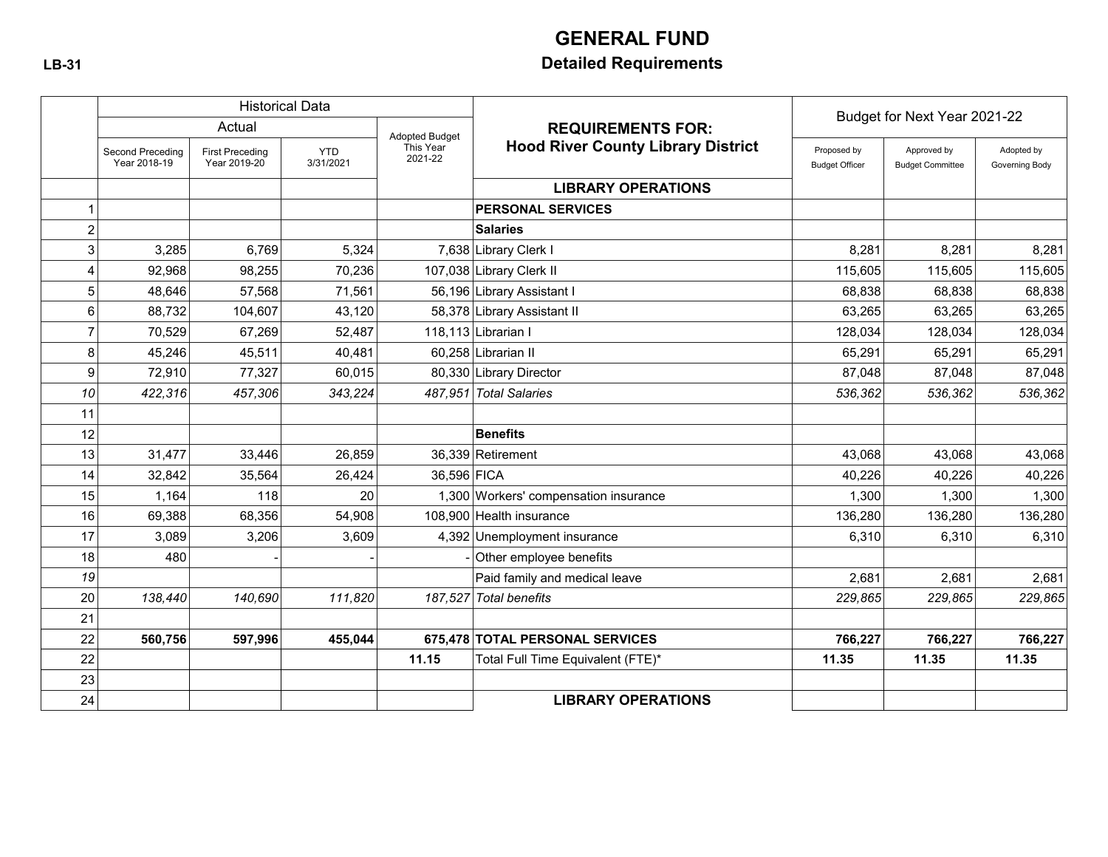# **GENERAL FUND**

# **LB-31 Detailed Requirements**

|                  |                                  |                                        | <b>Historical Data</b>  |                      |                                           | Budget for Next Year 2021-22         |                                        |                              |
|------------------|----------------------------------|----------------------------------------|-------------------------|----------------------|-------------------------------------------|--------------------------------------|----------------------------------------|------------------------------|
|                  | Actual<br><b>Adopted Budget</b>  |                                        |                         |                      | <b>REQUIREMENTS FOR:</b>                  |                                      |                                        |                              |
|                  | Second Preceding<br>Year 2018-19 | <b>First Preceding</b><br>Year 2019-20 | <b>YTD</b><br>3/31/2021 | This Year<br>2021-22 | <b>Hood River County Library District</b> | Proposed by<br><b>Budget Officer</b> | Approved by<br><b>Budget Committee</b> | Adopted by<br>Governing Body |
|                  |                                  |                                        |                         |                      | <b>LIBRARY OPERATIONS</b>                 |                                      |                                        |                              |
|                  |                                  |                                        |                         |                      | <b>PERSONAL SERVICES</b>                  |                                      |                                        |                              |
| $\boldsymbol{2}$ |                                  |                                        |                         |                      | <b>Salaries</b>                           |                                      |                                        |                              |
| 3                | 3,285                            | 6,769                                  | 5,324                   |                      | 7,638 Library Clerk I                     | 8,281                                | 8,281                                  | 8,281                        |
| 4                | 92,968                           | 98,255                                 | 70,236                  |                      | 107,038 Library Clerk II                  | 115,605                              | 115,605                                | 115,605                      |
| 5                | 48,646                           | 57,568                                 | 71,561                  |                      | 56,196 Library Assistant I                | 68,838                               | 68,838                                 | 68,838                       |
| 6                | 88,732                           | 104,607                                | 43.120                  |                      | 58,378 Library Assistant II               | 63.265                               | 63,265                                 | 63,265                       |
| $\overline{7}$   | 70,529                           | 67,269                                 | 52,487                  |                      | 118,113 Librarian I                       | 128,034                              | 128,034                                | 128,034                      |
| 8                | 45,246                           | 45,511                                 | 40,481                  |                      | 60,258 Librarian II                       | 65,291                               | 65,291                                 | 65,291                       |
| 9                | 72,910                           | 77,327                                 | 60,015                  |                      | 80,330 Library Director                   | 87.048                               | 87,048                                 | 87,048                       |
| 10               | 422,316                          | 457,306                                | 343,224                 |                      | 487,951 Total Salaries                    | 536,362                              | 536,362                                | 536,362                      |
| 11               |                                  |                                        |                         |                      |                                           |                                      |                                        |                              |
| 12               |                                  |                                        |                         |                      | <b>Benefits</b>                           |                                      |                                        |                              |
| 13               | 31,477                           | 33,446                                 | 26,859                  |                      | 36,339 Retirement                         | 43.068                               | 43,068                                 | 43,068                       |
| 14               | 32,842                           | 35,564                                 | 26,424                  | 36,596 FICA          |                                           | 40,226                               | 40,226                                 | 40,226                       |
| 15               | 1,164                            | 118                                    | 20                      |                      | 1,300 Workers' compensation insurance     | 1,300                                | 1,300                                  | 1,300                        |
| 16               | 69,388                           | 68,356                                 | 54,908                  |                      | 108,900 Health insurance                  | 136,280                              | 136,280                                | 136,280                      |
| 17               | 3,089                            | 3,206                                  | 3,609                   |                      | 4,392 Unemployment insurance              | 6,310                                | 6,310                                  | 6,310                        |
| 18               | 480                              |                                        |                         |                      | Other employee benefits                   |                                      |                                        |                              |
| 19               |                                  |                                        |                         |                      | Paid family and medical leave             | 2,681                                | 2,681                                  | 2,681                        |
| 20               | 138,440                          | 140.690                                | 111,820                 |                      | 187,527 Total benefits                    | 229,865                              | 229,865                                | 229,865                      |
| 21               |                                  |                                        |                         |                      |                                           |                                      |                                        |                              |
| 22               | 560,756                          | 597,996                                | 455,044                 |                      | 675,478 TOTAL PERSONAL SERVICES           | 766,227                              | 766,227                                | 766,227                      |
| 22               |                                  |                                        |                         | 11.15                | Total Full Time Equivalent (FTE)*         | 11.35                                | 11.35                                  | 11.35                        |
| 23               |                                  |                                        |                         |                      |                                           |                                      |                                        |                              |
| 24               |                                  |                                        |                         |                      | <b>LIBRARY OPERATIONS</b>                 |                                      |                                        |                              |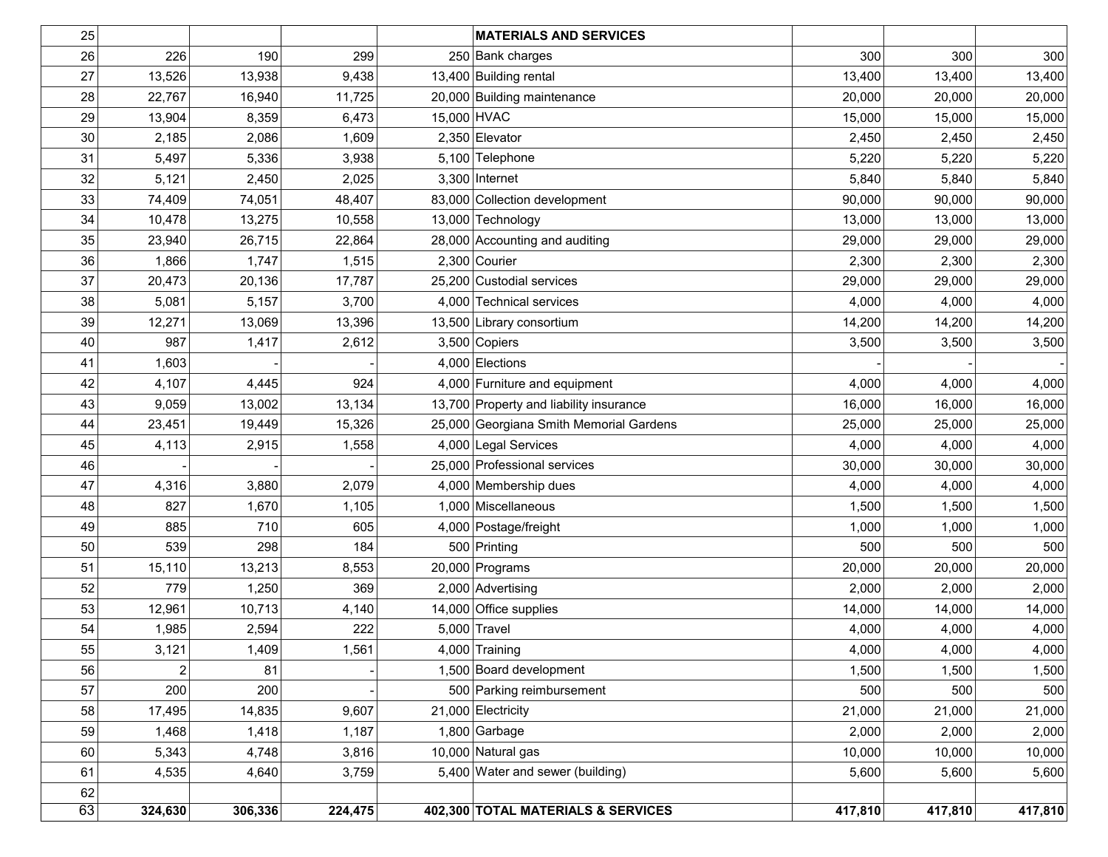| 25              |         |         |         | <b>MATERIALS AND SERVICES</b>           |         |         |         |
|-----------------|---------|---------|---------|-----------------------------------------|---------|---------|---------|
| 26              | 226     | 190     | 299     | 250 Bank charges                        | 300     | 300     | 300     |
| 27              | 13,526  | 13,938  | 9,438   | 13,400 Building rental                  | 13,400  | 13,400  | 13,400  |
| 28              | 22,767  | 16,940  | 11,725  | 20,000 Building maintenance             | 20,000  | 20,000  | 20,000  |
| 29              | 13,904  | 8,359   | 6,473   | 15,000 HVAC                             | 15,000  | 15,000  | 15,000  |
| 30              | 2,185   | 2,086   | 1,609   | 2,350 Elevator                          | 2,450   | 2,450   | 2,450   |
| 31              | 5,497   | 5,336   | 3,938   | 5,100 Telephone                         | 5,220   | 5,220   | 5,220   |
| 32              | 5,121   | 2,450   | 2,025   | $3,300$ Internet                        | 5,840   | 5,840   | 5,840   |
| 33              | 74,409  | 74,051  | 48,407  | 83,000 Collection development           | 90,000  | 90,000  | 90,000  |
| 34              | 10,478  | 13,275  | 10,558  | 13,000 Technology                       | 13,000  | 13,000  | 13,000  |
| 35              | 23,940  | 26,715  | 22,864  | 28,000 Accounting and auditing          | 29,000  | 29,000  | 29,000  |
| 36              | 1,866   | 1,747   | 1,515   | $2,300$ Courier                         | 2,300   | 2,300   | 2,300   |
| 37              | 20,473  | 20,136  | 17,787  | 25,200 Custodial services               | 29,000  | 29,000  | 29,000  |
| 38              | 5,081   | 5,157   | 3,700   | 4,000 Technical services                | 4,000   | 4,000   | 4,000   |
| 39              | 12,271  | 13,069  | 13,396  | 13,500 Library consortium               | 14,200  | 14,200  | 14,200  |
| 40              | 987     | 1,417   | 2,612   | $3,500$ Copiers                         | 3,500   | 3,500   | 3,500   |
| 41              | 1,603   |         |         | 4,000 Elections                         |         |         |         |
| 42              | 4,107   | 4,445   | 924     | 4,000 Furniture and equipment           | 4,000   | 4,000   | 4,000   |
| 43              | 9,059   | 13,002  | 13,134  | 13,700 Property and liability insurance | 16,000  | 16,000  | 16,000  |
| 44              | 23,451  | 19,449  | 15,326  | 25,000 Georgiana Smith Memorial Gardens | 25,000  | 25,000  | 25,000  |
| 45              | 4,113   | 2,915   | 1,558   | 4,000 Legal Services                    | 4,000   | 4,000   | 4,000   |
| 46              |         |         |         | 25,000 Professional services            | 30,000  | 30,000  | 30,000  |
| 47              | 4,316   | 3,880   | 2,079   | 4,000 Membership dues                   | 4,000   | 4,000   | 4,000   |
| 48              | 827     | 1,670   | 1,105   | 1,000 Miscellaneous                     | 1,500   | 1,500   | 1,500   |
| 49              | 885     | 710     | 605     | 4,000 Postage/freight                   | 1,000   | 1,000   | 1,000   |
| 50              | 539     | 298     | 184     | 500 Printing                            | 500     | 500     | 500     |
| 51              | 15,110  | 13,213  | 8,553   | 20,000 Programs                         | 20,000  | 20,000  | 20,000  |
| 52              | 779     | 1,250   | 369     | 2,000 Advertising                       | 2,000   | 2,000   | 2,000   |
| 53              | 12,961  | 10,713  | 4,140   | 14,000 Office supplies                  | 14,000  | 14,000  | 14,000  |
| 54              | 1,985   | 2,594   | 222     | $5,000$ Travel                          | 4,000   | 4,000   | 4,000   |
| 55              | 3,121   | 1,409   | 1,561   | 4,000 Training                          | 4,000   | 4,000   | 4,000   |
| 56              | 2       | 81      |         | 1,500 Board development                 | 1,500   | 1,500   | 1,500   |
| 57              | 200     | 200     |         | 500 Parking reimbursement               | 500     | 500     | 500     |
| 58              | 17,495  | 14,835  | 9,607   | 21,000 Electricity                      | 21,000  | 21,000  | 21,000  |
| 59              | 1,468   | 1,418   | 1,187   | $1,800$ Garbage                         | 2,000   | 2,000   | 2,000   |
| 60              | 5,343   | 4,748   | 3,816   | 10,000 Natural gas                      | 10,000  | 10,000  | 10,000  |
| 61              | 4,535   | 4,640   | 3,759   | 5,400 Water and sewer (building)        | 5,600   | 5,600   | 5,600   |
| 62              |         |         |         |                                         |         |         |         |
| $\overline{63}$ | 324,630 | 306,336 | 224,475 | 402,300 TOTAL MATERIALS & SERVICES      | 417,810 | 417,810 | 417,810 |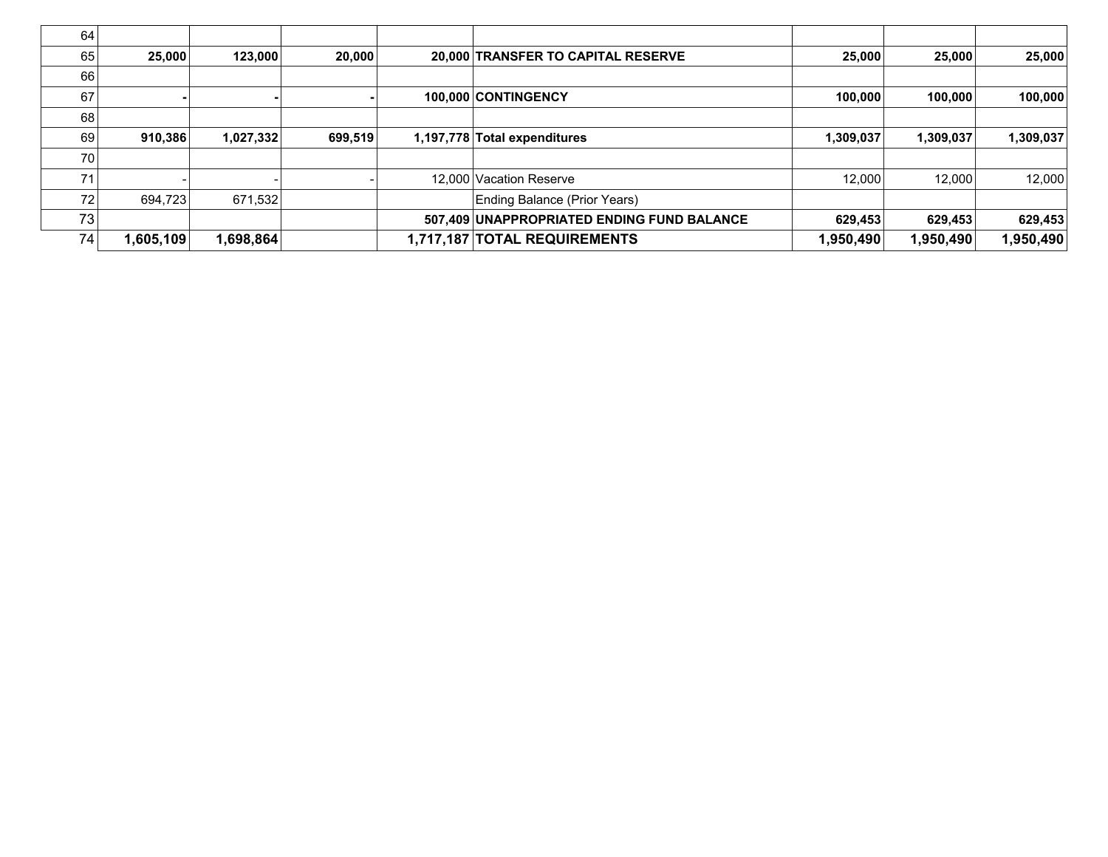| 25.000         |                                  | 20,000  |                                                |                              |                                                                                                                                                                                                    | 25,000                        | 25,000    |
|----------------|----------------------------------|---------|------------------------------------------------|------------------------------|----------------------------------------------------------------------------------------------------------------------------------------------------------------------------------------------------|-------------------------------|-----------|
|                |                                  |         |                                                |                              |                                                                                                                                                                                                    |                               |           |
|                |                                  |         |                                                |                              | 100,000                                                                                                                                                                                            | 100,000                       | 100,000   |
|                |                                  |         |                                                |                              |                                                                                                                                                                                                    |                               |           |
| 910,386        |                                  | 699,519 |                                                |                              | 1,309,037                                                                                                                                                                                          | 1,309,037                     | 1,309,037 |
|                |                                  |         |                                                |                              |                                                                                                                                                                                                    |                               |           |
|                |                                  |         |                                                |                              |                                                                                                                                                                                                    | 12,000                        | 12,000    |
| 694,723        |                                  |         |                                                | Ending Balance (Prior Years) |                                                                                                                                                                                                    |                               |           |
|                |                                  |         |                                                |                              | 629,453                                                                                                                                                                                            | 629,453                       | 629,453   |
| 1,605,109      |                                  |         |                                                |                              |                                                                                                                                                                                                    | 1,950,490                     | 950,490,  |
| 64<br>68<br>73 | 65<br>66<br>69<br>70<br>72<br>74 |         | 123.000<br>1,027,332<br>671.532<br>∣698,864, ا |                              | 20,000 TRANSFER TO CAPITAL RESERVE<br>100.000 CONTINGENCY<br>1,197,778 Total expenditures<br>12,000 Vacation Reserve<br>507,409 UNAPPROPRIATED ENDING FUND BALANCE<br>1,717,187 TOTAL REQUIREMENTS | 25,000<br>12.000<br>1,950,490 |           |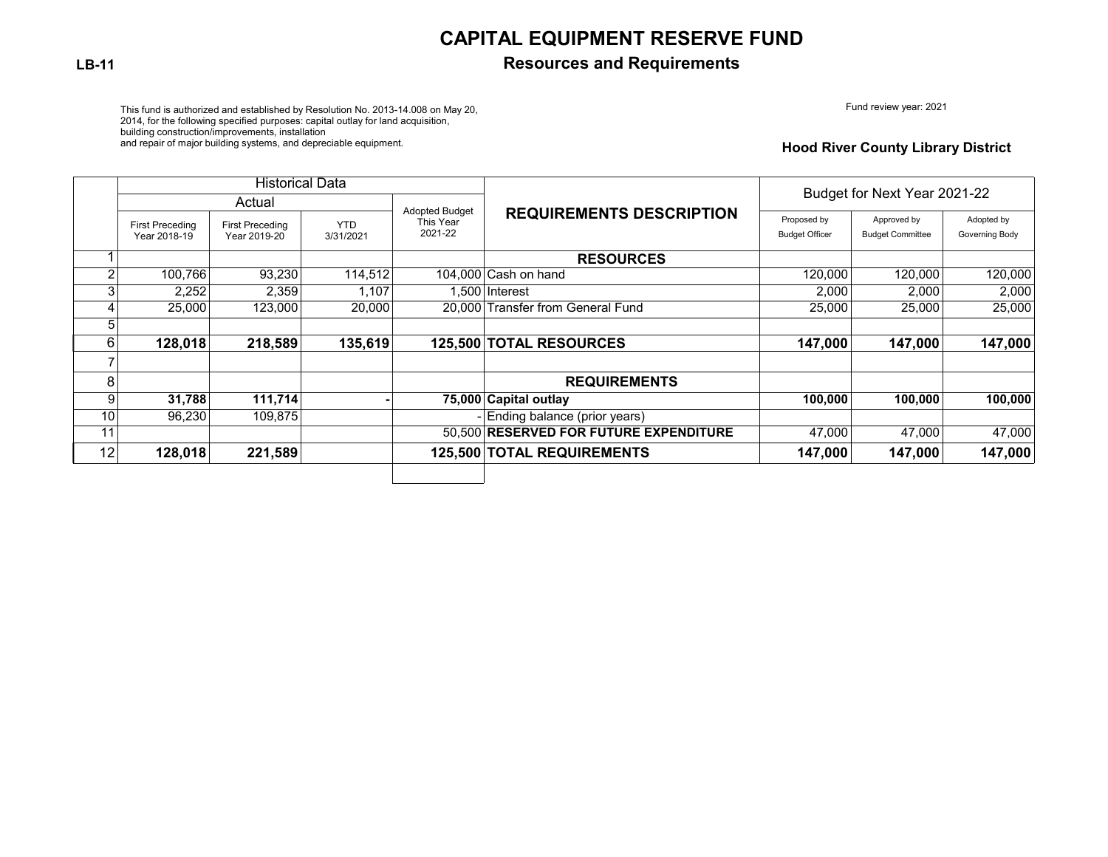## **CAPITAL EQUIPMENT RESERVE FUND**

### **LB-11 Resources and Requirements**

Fund review year: 2021

This fund is authorized and established by Resolution No. 2013-14.008 on May 20, 2014, for the following specified purposes: capital outlay for land acquisition, building construction/improvements, installation

and repair of major building systems, and depreciable equipment.

#### **Hood River County Library District**

|                |                                        | <b>Historical Data</b>                 |                         |                                               |                                        |                                      |                                        |                              |  |
|----------------|----------------------------------------|----------------------------------------|-------------------------|-----------------------------------------------|----------------------------------------|--------------------------------------|----------------------------------------|------------------------------|--|
|                | Actual                                 |                                        |                         |                                               |                                        | Budget for Next Year 2021-22         |                                        |                              |  |
|                | <b>First Preceding</b><br>Year 2018-19 | <b>First Preceding</b><br>Year 2019-20 | <b>YTD</b><br>3/31/2021 | <b>Adopted Budget</b><br>This Year<br>2021-22 | <b>REQUIREMENTS DESCRIPTION</b>        | Proposed by<br><b>Budget Officer</b> | Approved by<br><b>Budget Committee</b> | Adopted by<br>Governing Body |  |
|                |                                        |                                        |                         |                                               | <b>RESOURCES</b>                       |                                      |                                        |                              |  |
| $\mathfrak{p}$ | 100,766                                | 93,230                                 | 114,512                 |                                               | 104.000 Cash on hand                   | 120,000                              | 120,000                                | 120,000                      |  |
| ົ              | 2,252                                  | 2,359                                  | 1,107                   |                                               | 1.500 Interest                         | 2,000                                | 2,000                                  | 2,000                        |  |
|                | 25,000                                 | 123,000                                | 20,000                  |                                               | 20.000 Transfer from General Fund      | 25,000                               | 25,000                                 | 25,000                       |  |
|                |                                        |                                        |                         |                                               |                                        |                                      |                                        |                              |  |
| 6              | 128,018                                | 218,589                                | 135,619                 |                                               | 125,500 TOTAL RESOURCES                | 147,000                              | 147,000                                | 147,000                      |  |
|                |                                        |                                        |                         |                                               |                                        |                                      |                                        |                              |  |
| 8              |                                        |                                        |                         |                                               | <b>REQUIREMENTS</b>                    |                                      |                                        |                              |  |
| 9              | 31,788                                 | 111,714                                |                         |                                               | 75,000 Capital outlay                  | 100.000                              | 100,000                                | 100,000                      |  |
| 10             | 96.230                                 | 109.875                                |                         |                                               | - Ending balance (prior years)         |                                      |                                        |                              |  |
| 11             |                                        |                                        |                         |                                               | 50.500 RESERVED FOR FUTURE EXPENDITURE | 47,000                               | 47.000                                 | 47,000                       |  |
| 12             | 128,018                                | 221,589                                |                         |                                               | 125,500 TOTAL REQUIREMENTS             | 147,000                              | 147,000                                | 147,000                      |  |
|                |                                        |                                        |                         |                                               |                                        |                                      |                                        |                              |  |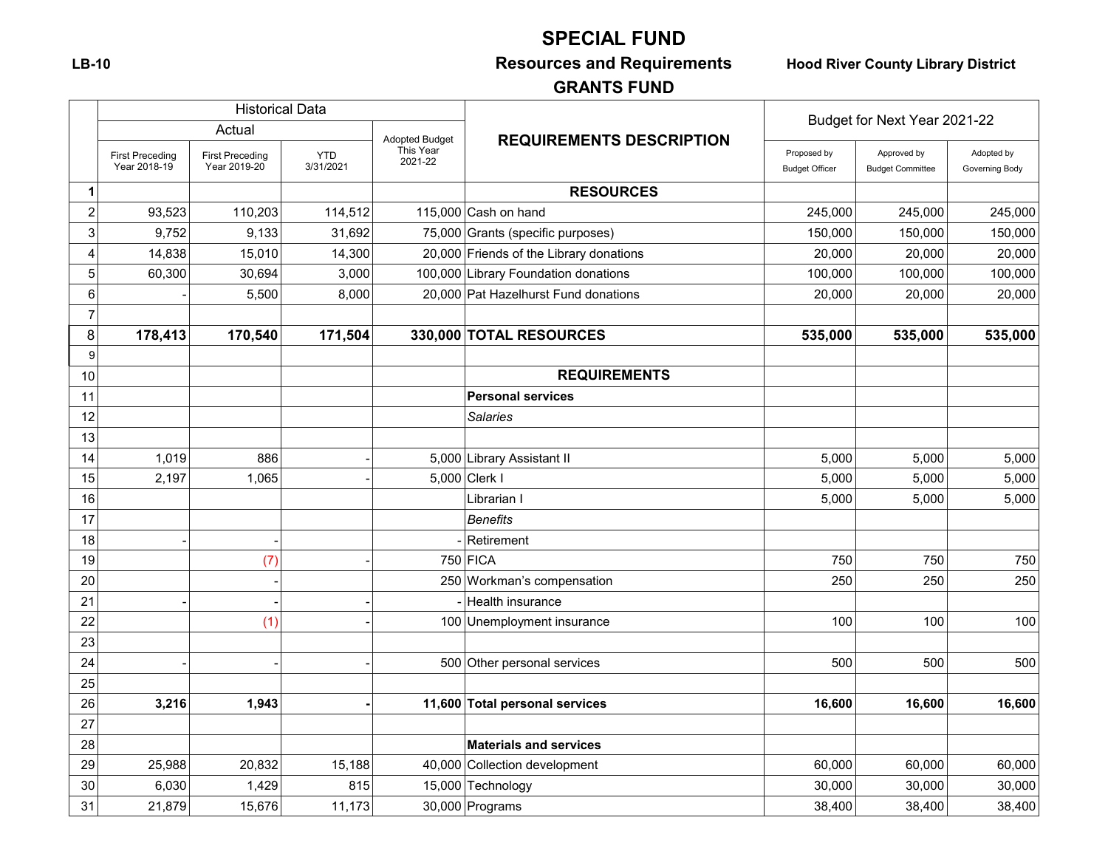# **SPECIAL FUND**

# **LB-10 Resources and Requirements Hood River County Library District**

# **GRANTS FUND**

|                |                                        | <b>Historical Data</b>                 |                         |                                               |                                         | Budget for Next Year 2021-22         |                                        |                              |
|----------------|----------------------------------------|----------------------------------------|-------------------------|-----------------------------------------------|-----------------------------------------|--------------------------------------|----------------------------------------|------------------------------|
|                | Actual                                 |                                        |                         |                                               |                                         |                                      |                                        |                              |
|                | <b>First Preceding</b><br>Year 2018-19 | <b>First Preceding</b><br>Year 2019-20 | <b>YTD</b><br>3/31/2021 | <b>Adopted Budget</b><br>This Year<br>2021-22 | <b>REQUIREMENTS DESCRIPTION</b>         | Proposed by<br><b>Budget Officer</b> | Approved by<br><b>Budget Committee</b> | Adopted by<br>Governing Body |
| 1              |                                        |                                        |                         |                                               | <b>RESOURCES</b>                        |                                      |                                        |                              |
| $\overline{c}$ | 93,523                                 | 110,203                                | 114,512                 |                                               | 115,000 Cash on hand                    | 245,000                              | 245,000                                | 245,000                      |
| 3              | 9,752                                  | 9,133                                  | 31,692                  |                                               | 75,000 Grants (specific purposes)       | 150,000                              | 150,000                                | 150,000                      |
| $\overline{4}$ | 14,838                                 | 15,010                                 | 14,300                  |                                               | 20,000 Friends of the Library donations | 20,000                               | 20,000                                 | 20,000                       |
| 5              | 60,300                                 | 30,694                                 | 3,000                   |                                               | 100,000 Library Foundation donations    | 100,000                              | 100,000                                | 100,000                      |
| 6              |                                        | 5,500                                  | 8,000                   |                                               | 20,000 Pat Hazelhurst Fund donations    | 20,000                               | 20,000                                 | 20,000                       |
| $\overline{7}$ |                                        |                                        |                         |                                               |                                         |                                      |                                        |                              |
| 8              | 178,413                                | 170,540                                | 171,504                 |                                               | 330,000 TOTAL RESOURCES                 | 535,000                              | 535,000                                | 535,000                      |
| 9              |                                        |                                        |                         |                                               |                                         |                                      |                                        |                              |
| 10             |                                        |                                        |                         |                                               | <b>REQUIREMENTS</b>                     |                                      |                                        |                              |
| 11             |                                        |                                        |                         |                                               | <b>Personal services</b>                |                                      |                                        |                              |
| 12             |                                        |                                        |                         |                                               | <b>Salaries</b>                         |                                      |                                        |                              |
| 13             |                                        |                                        |                         |                                               |                                         |                                      |                                        |                              |
| 14             | 1,019                                  | 886                                    |                         |                                               | 5,000 Library Assistant II              | 5,000                                | 5,000                                  | 5,000                        |
| 15             | 2,197                                  | 1,065                                  |                         |                                               | 5,000 Clerk I                           | 5,000                                | 5,000                                  | 5,000                        |
| 16             |                                        |                                        |                         |                                               | Librarian I                             | 5,000                                | 5,000                                  | 5,000                        |
| 17             |                                        |                                        |                         |                                               | <b>Benefits</b>                         |                                      |                                        |                              |
| 18             |                                        |                                        |                         |                                               | Retirement                              |                                      |                                        |                              |
| 19             |                                        | (7)                                    |                         |                                               | 750 FICA                                | 750                                  | 750                                    | 750                          |
| 20             |                                        |                                        |                         |                                               | 250 Workman's compensation              | 250                                  | 250                                    | 250                          |
| 21             |                                        |                                        |                         |                                               | Health insurance                        |                                      |                                        |                              |
| 22             |                                        | (1)                                    |                         |                                               | 100 Unemployment insurance              | 100                                  | 100                                    | 100                          |
| 23             |                                        |                                        |                         |                                               |                                         |                                      |                                        |                              |
| 24             |                                        |                                        |                         |                                               | 500 Other personal services             | 500                                  | 500                                    | 500                          |
| 25             |                                        |                                        |                         |                                               |                                         |                                      |                                        |                              |
| 26             | 3,216                                  | 1,943                                  |                         |                                               | 11,600 Total personal services          | 16,600                               | 16,600                                 | 16,600                       |
| 27             |                                        |                                        |                         |                                               |                                         |                                      |                                        |                              |
| 28             |                                        |                                        |                         |                                               | <b>Materials and services</b>           |                                      |                                        |                              |
| 29             | 25,988                                 | 20,832                                 | 15,188                  |                                               | 40,000 Collection development           | 60,000                               | 60,000                                 | 60,000                       |
| 30             | 6,030                                  | 1,429                                  | 815                     |                                               | 15,000 Technology                       | 30,000                               | 30,000                                 | 30,000                       |
| 31             | 21,879                                 | 15,676                                 | 11,173                  |                                               | $30,000$ Programs                       | 38,400                               | 38,400                                 | 38,400                       |

 $\Gamma$